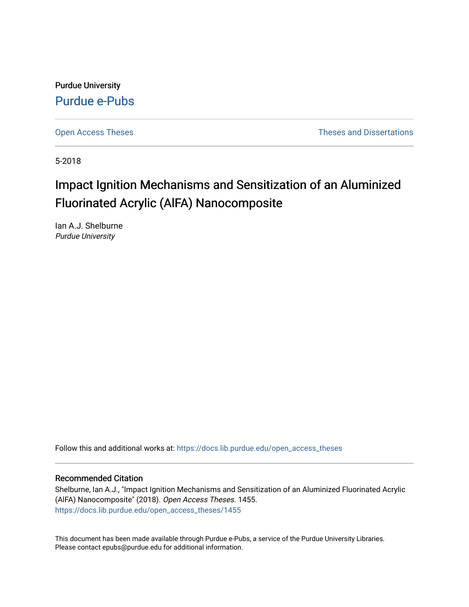Purdue University [Purdue e-Pubs](https://docs.lib.purdue.edu/)

[Open Access Theses](https://docs.lib.purdue.edu/open_access_theses) **Theses Theses Theses** and Dissertations

5-2018

# Impact Ignition Mechanisms and Sensitization of an Aluminized Fluorinated Acrylic (AlFA) Nanocomposite

Ian A.J. Shelburne Purdue University

Follow this and additional works at: [https://docs.lib.purdue.edu/open\\_access\\_theses](https://docs.lib.purdue.edu/open_access_theses?utm_source=docs.lib.purdue.edu%2Fopen_access_theses%2F1455&utm_medium=PDF&utm_campaign=PDFCoverPages) 

#### Recommended Citation

Shelburne, Ian A.J., "Impact Ignition Mechanisms and Sensitization of an Aluminized Fluorinated Acrylic (AlFA) Nanocomposite" (2018). Open Access Theses. 1455. [https://docs.lib.purdue.edu/open\\_access\\_theses/1455](https://docs.lib.purdue.edu/open_access_theses/1455?utm_source=docs.lib.purdue.edu%2Fopen_access_theses%2F1455&utm_medium=PDF&utm_campaign=PDFCoverPages) 

This document has been made available through Purdue e-Pubs, a service of the Purdue University Libraries. Please contact epubs@purdue.edu for additional information.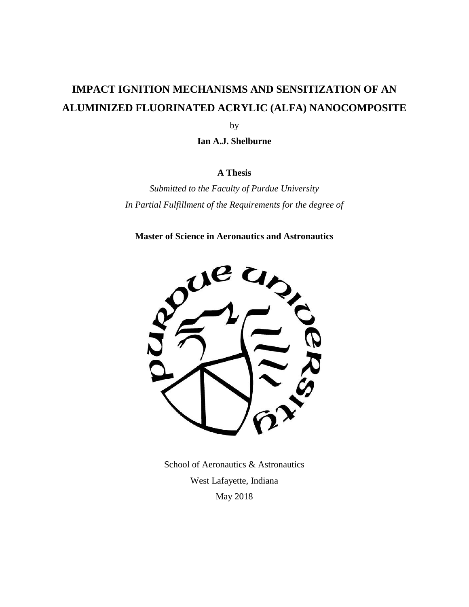# **IMPACT IGNITION MECHANISMS AND SENSITIZATION OF AN ALUMINIZED FLUORINATED ACRYLIC (ALFA) NANOCOMPOSITE**

by

**Ian A.J. Shelburne**

# **A Thesis**

*Submitted to the Faculty of Purdue University In Partial Fulfillment of the Requirements for the degree of*

**Master of Science in Aeronautics and Astronautics**



School of Aeronautics & Astronautics West Lafayette, Indiana May 2018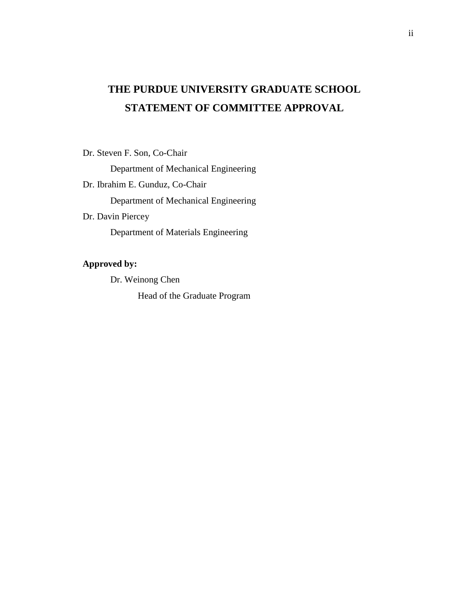# **THE PURDUE UNIVERSITY GRADUATE SCHOOL STATEMENT OF COMMITTEE APPROVAL**

Dr. Steven F. Son, Co-Chair

Department of Mechanical Engineering

Dr. Ibrahim E. Gunduz, Co-Chair

Department of Mechanical Engineering

Dr. Davin Piercey

Department of Materials Engineering

# **Approved by:**

Dr. Weinong Chen

Head of the Graduate Program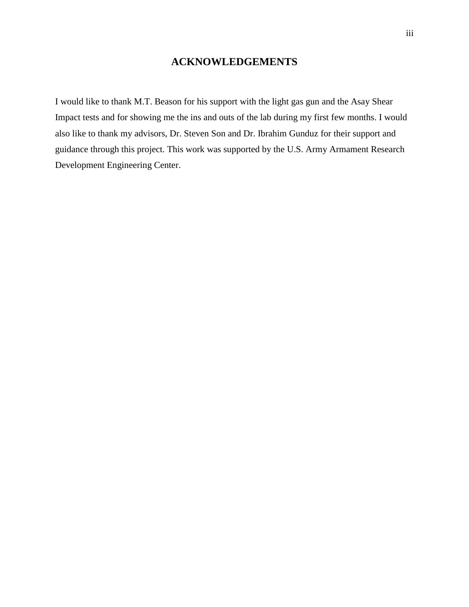# **ACKNOWLEDGEMENTS**

I would like to thank M.T. Beason for his support with the light gas gun and the Asay Shear Impact tests and for showing me the ins and outs of the lab during my first few months. I would also like to thank my advisors, Dr. Steven Son and Dr. Ibrahim Gunduz for their support and guidance through this project. This work was supported by the U.S. Army Armament Research Development Engineering Center.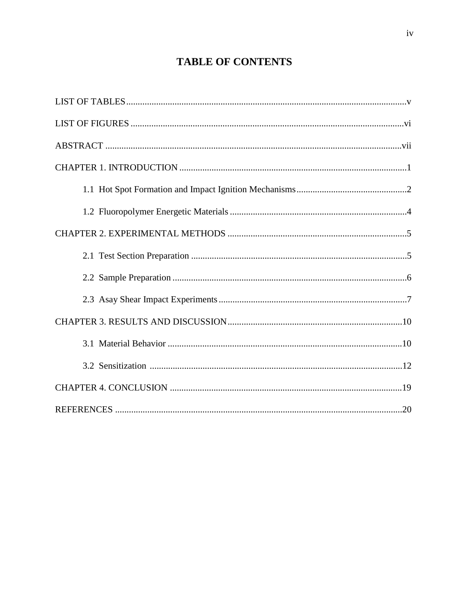# **TABLE OF CONTENTS**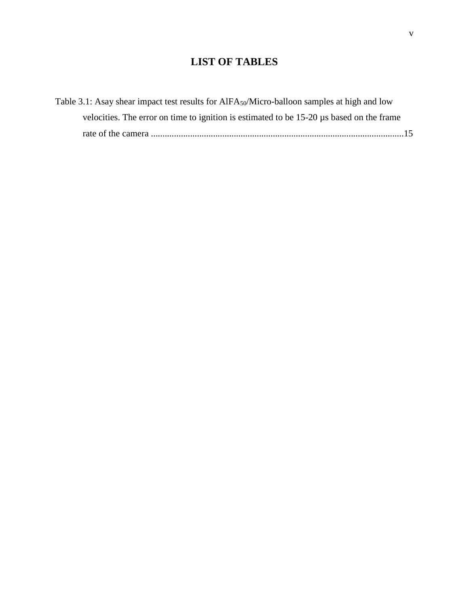# **LIST OF TABLES**

| Table 3.1: Asay shear impact test results for AIFA <sub>50</sub> /Micro-balloon samples at high and low |
|---------------------------------------------------------------------------------------------------------|
| velocities. The error on time to ignition is estimated to be 15-20 µs based on the frame                |
|                                                                                                         |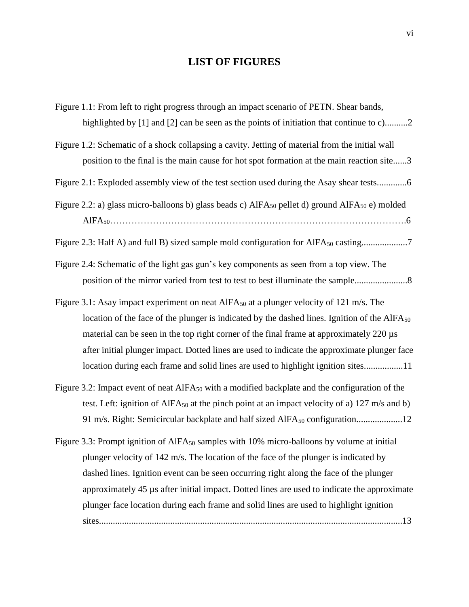# **LIST OF FIGURES**

| Figure 1.1: From left to right progress through an impact scenario of PETN. Shear bands,                               |
|------------------------------------------------------------------------------------------------------------------------|
| highlighted by [1] and [2] can be seen as the points of initiation that continue to c)2                                |
| Figure 1.2: Schematic of a shock collapsing a cavity. Jetting of material from the initial wall                        |
| position to the final is the main cause for hot spot formation at the main reaction site3                              |
| Figure 2.1: Exploded assembly view of the test section used during the Asay shear tests                                |
| Figure 2.2: a) glass micro-balloons b) glass beads c) AlFA <sub>50</sub> pellet d) ground AlFA <sub>50</sub> e) molded |
|                                                                                                                        |
| Figure 2.3: Half A) and full B) sized sample mold configuration for AlFA <sub>50</sub> casting7                        |
| Figure 2.4: Schematic of the light gas gun's key components as seen from a top view. The                               |
| position of the mirror varied from test to test to best illuminate the sample                                          |
| Figure 3.1: Asay impact experiment on neat AlFA <sub>50</sub> at a plunger velocity of 121 m/s. The                    |
| location of the face of the plunger is indicated by the dashed lines. Ignition of the AlFA <sub>50</sub>               |
| material can be seen in the top right corner of the final frame at approximately 220 µs                                |
| after initial plunger impact. Dotted lines are used to indicate the approximate plunger face                           |
| location during each frame and solid lines are used to highlight ignition sites11                                      |
| Figure 3.2: Impact event of neat $AIFA_{50}$ with a modified backplate and the configuration of the                    |
| test. Left: ignition of AlFA <sub>50</sub> at the pinch point at an impact velocity of a) 127 m/s and b)               |
| 91 m/s. Right: Semicircular backplate and half sized AlFA <sub>50</sub> configuration12                                |
| Figure 3.3: Prompt ignition of AlFA <sub>50</sub> samples with 10% micro-balloons by volume at initial                 |
| plunger velocity of 142 m/s. The location of the face of the plunger is indicated by                                   |
| dashed lines. Ignition event can be seen occurring right along the face of the plunger                                 |
| approximately 45 µs after initial impact. Dotted lines are used to indicate the approximate                            |
| plunger face location during each frame and solid lines are used to highlight ignition                                 |
|                                                                                                                        |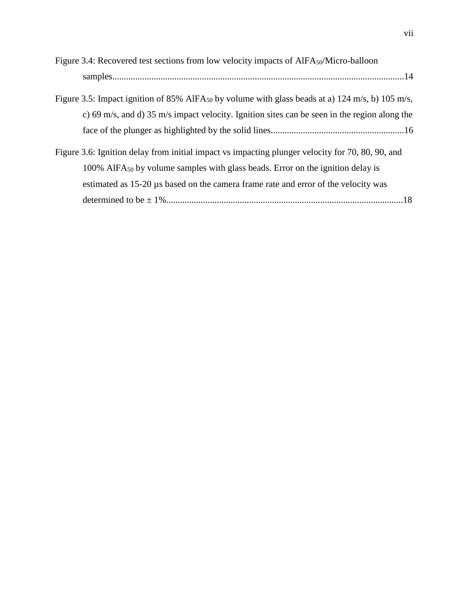| Figure 3.4: Recovered test sections from low velocity impacts of AlFA <sub>50</sub> /Micro-balloon          |
|-------------------------------------------------------------------------------------------------------------|
|                                                                                                             |
| Figure 3.5: Impact ignition of 85% AlFA <sub>50</sub> by volume with glass beads at a) 124 m/s, b) 105 m/s, |
| c) 69 m/s, and d) 35 m/s impact velocity. Ignition sites can be seen in the region along the                |
|                                                                                                             |
| Figure 3.6: Ignition delay from initial impact vs impacting plunger velocity for 70, 80, 90, and            |
| 100% AIFA <sub>50</sub> by volume samples with glass beads. Error on the ignition delay is                  |
| estimated as 15-20 µs based on the camera frame rate and error of the velocity was                          |
|                                                                                                             |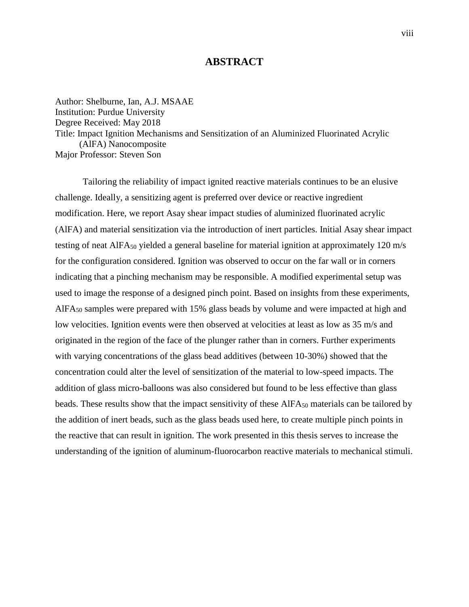# **ABSTRACT**

Author: Shelburne, Ian, A.J. MSAAE Institution: Purdue University Degree Received: May 2018 Title: Impact Ignition Mechanisms and Sensitization of an Aluminized Fluorinated Acrylic (AlFA) Nanocomposite Major Professor: Steven Son

Tailoring the reliability of impact ignited reactive materials continues to be an elusive challenge. Ideally, a sensitizing agent is preferred over device or reactive ingredient modification. Here, we report Asay shear impact studies of aluminized fluorinated acrylic (AlFA) and material sensitization via the introduction of inert particles. Initial Asay shear impact testing of neat AlFA $_{50}$  yielded a general baseline for material ignition at approximately 120 m/s for the configuration considered. Ignition was observed to occur on the far wall or in corners indicating that a pinching mechanism may be responsible. A modified experimental setup was used to image the response of a designed pinch point. Based on insights from these experiments,  $AIFA<sub>50</sub>$  samples were prepared with 15% glass beads by volume and were impacted at high and low velocities. Ignition events were then observed at velocities at least as low as 35 m/s and originated in the region of the face of the plunger rather than in corners. Further experiments with varying concentrations of the glass bead additives (between 10-30%) showed that the concentration could alter the level of sensitization of the material to low-speed impacts. The addition of glass micro-balloons was also considered but found to be less effective than glass beads. These results show that the impact sensitivity of these AlFA<sub>50</sub> materials can be tailored by the addition of inert beads, such as the glass beads used here, to create multiple pinch points in the reactive that can result in ignition. The work presented in this thesis serves to increase the understanding of the ignition of aluminum-fluorocarbon reactive materials to mechanical stimuli.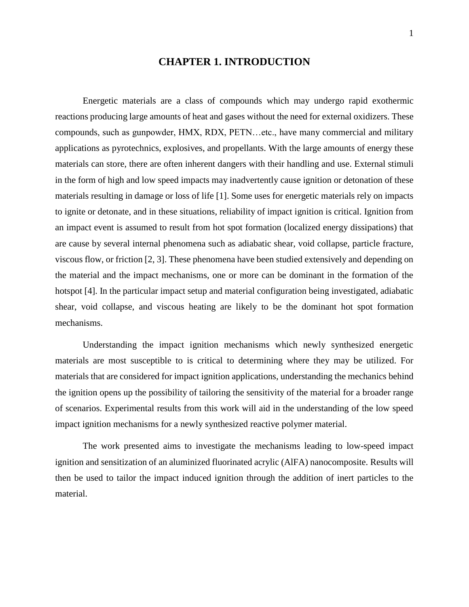# **CHAPTER 1. INTRODUCTION**

Energetic materials are a class of compounds which may undergo rapid exothermic reactions producing large amounts of heat and gases without the need for external oxidizers. These compounds, such as gunpowder, HMX, RDX, PETN…etc., have many commercial and military applications as pyrotechnics, explosives, and propellants. With the large amounts of energy these materials can store, there are often inherent dangers with their handling and use. External stimuli in the form of high and low speed impacts may inadvertently cause ignition or detonation of these materials resulting in damage or loss of life [1]. Some uses for energetic materials rely on impacts to ignite or detonate, and in these situations, reliability of impact ignition is critical. Ignition from an impact event is assumed to result from hot spot formation (localized energy dissipations) that are cause by several internal phenomena such as adiabatic shear, void collapse, particle fracture, viscous flow, or friction [2, 3]. These phenomena have been studied extensively and depending on the material and the impact mechanisms, one or more can be dominant in the formation of the hotspot [4]. In the particular impact setup and material configuration being investigated, adiabatic shear, void collapse, and viscous heating are likely to be the dominant hot spot formation mechanisms.

Understanding the impact ignition mechanisms which newly synthesized energetic materials are most susceptible to is critical to determining where they may be utilized. For materials that are considered for impact ignition applications, understanding the mechanics behind the ignition opens up the possibility of tailoring the sensitivity of the material for a broader range of scenarios. Experimental results from this work will aid in the understanding of the low speed impact ignition mechanisms for a newly synthesized reactive polymer material.

The work presented aims to investigate the mechanisms leading to low-speed impact ignition and sensitization of an aluminized fluorinated acrylic (AlFA) nanocomposite. Results will then be used to tailor the impact induced ignition through the addition of inert particles to the material.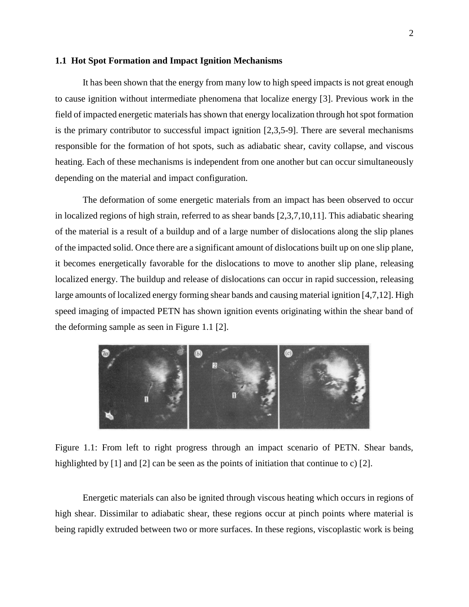#### **1.1 Hot Spot Formation and Impact Ignition Mechanisms**

It has been shown that the energy from many low to high speed impacts is not great enough to cause ignition without intermediate phenomena that localize energy [3]. Previous work in the field of impacted energetic materials has shown that energy localization through hot spot formation is the primary contributor to successful impact ignition [2,3,5-9]. There are several mechanisms responsible for the formation of hot spots, such as adiabatic shear, cavity collapse, and viscous heating. Each of these mechanisms is independent from one another but can occur simultaneously depending on the material and impact configuration.

The deformation of some energetic materials from an impact has been observed to occur in localized regions of high strain, referred to as shear bands [2,3,7,10,11]. This adiabatic shearing of the material is a result of a buildup and of a large number of dislocations along the slip planes of the impacted solid. Once there are a significant amount of dislocations built up on one slip plane, it becomes energetically favorable for the dislocations to move to another slip plane, releasing localized energy. The buildup and release of dislocations can occur in rapid succession, releasing large amounts of localized energy forming shear bands and causing material ignition [4,7,12]. High speed imaging of impacted PETN has shown ignition events originating within the shear band of the deforming sample as seen in Figure 1.1 [2].



Figure 1.1: From left to right progress through an impact scenario of PETN. Shear bands, highlighted by [1] and [2] can be seen as the points of initiation that continue to c) [2].

Energetic materials can also be ignited through viscous heating which occurs in regions of high shear. Dissimilar to adiabatic shear, these regions occur at pinch points where material is being rapidly extruded between two or more surfaces. In these regions, viscoplastic work is being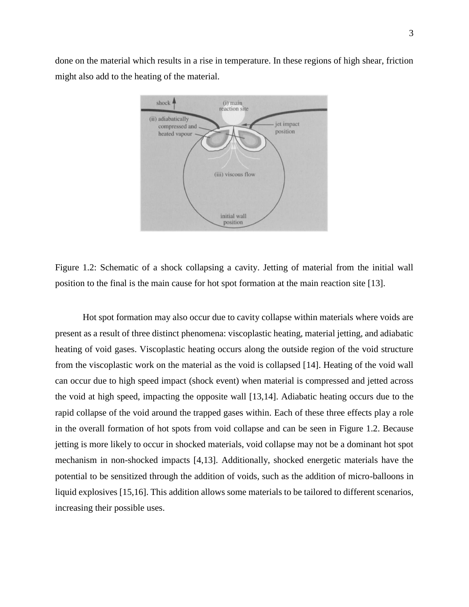done on the material which results in a rise in temperature. In these regions of high shear, friction might also add to the heating of the material.



Figure 1.2: Schematic of a shock collapsing a cavity. Jetting of material from the initial wall position to the final is the main cause for hot spot formation at the main reaction site [13].

Hot spot formation may also occur due to cavity collapse within materials where voids are present as a result of three distinct phenomena: viscoplastic heating, material jetting, and adiabatic heating of void gases. Viscoplastic heating occurs along the outside region of the void structure from the viscoplastic work on the material as the void is collapsed [14]. Heating of the void wall can occur due to high speed impact (shock event) when material is compressed and jetted across the void at high speed, impacting the opposite wall [13,14]. Adiabatic heating occurs due to the rapid collapse of the void around the trapped gases within. Each of these three effects play a role in the overall formation of hot spots from void collapse and can be seen in Figure 1.2. Because jetting is more likely to occur in shocked materials, void collapse may not be a dominant hot spot mechanism in non-shocked impacts [4,13]. Additionally, shocked energetic materials have the potential to be sensitized through the addition of voids, such as the addition of micro-balloons in liquid explosives [15,16]. This addition allows some materials to be tailored to different scenarios, increasing their possible uses.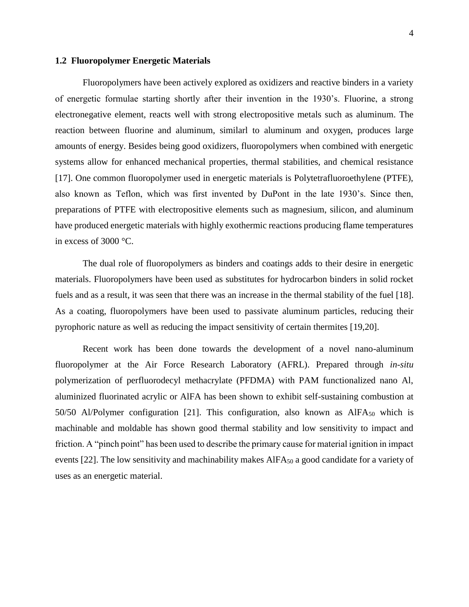#### **1.2 Fluoropolymer Energetic Materials**

Fluoropolymers have been actively explored as oxidizers and reactive binders in a variety of energetic formulae starting shortly after their invention in the 1930's. Fluorine, a strong electronegative element, reacts well with strong electropositive metals such as aluminum. The reaction between fluorine and aluminum, similarl to aluminum and oxygen, produces large amounts of energy. Besides being good oxidizers, fluoropolymers when combined with energetic systems allow for enhanced mechanical properties, thermal stabilities, and chemical resistance [17]. One common fluoropolymer used in energetic materials is Polytetrafluoroethylene (PTFE), also known as Teflon, which was first invented by DuPont in the late 1930's. Since then, preparations of PTFE with electropositive elements such as magnesium, silicon, and aluminum have produced energetic materials with highly exothermic reactions producing flame temperatures in excess of 3000 °C.

The dual role of fluoropolymers as binders and coatings adds to their desire in energetic materials. Fluoropolymers have been used as substitutes for hydrocarbon binders in solid rocket fuels and as a result, it was seen that there was an increase in the thermal stability of the fuel [18]. As a coating, fluoropolymers have been used to passivate aluminum particles, reducing their pyrophoric nature as well as reducing the impact sensitivity of certain thermites [19,20].

Recent work has been done towards the development of a novel nano-aluminum fluoropolymer at the Air Force Research Laboratory (AFRL). Prepared through *in-situ* polymerization of perfluorodecyl methacrylate (PFDMA) with PAM functionalized nano Al, aluminized fluorinated acrylic or AlFA has been shown to exhibit self-sustaining combustion at 50/50 Al/Polymer configuration [21]. This configuration, also known as  $AIFA_{50}$  which is machinable and moldable has shown good thermal stability and low sensitivity to impact and friction. A "pinch point" has been used to describe the primary cause for material ignition in impact events [22]. The low sensitivity and machinability makes AlFA<sub>50</sub> a good candidate for a variety of uses as an energetic material.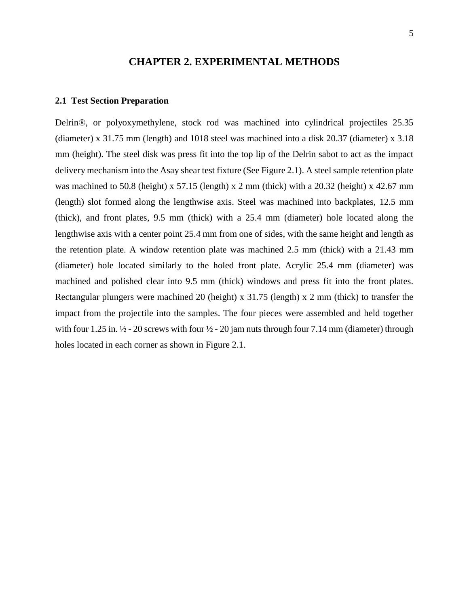## **CHAPTER 2. EXPERIMENTAL METHODS**

#### **2.1 Test Section Preparation**

Delrin®, or polyoxymethylene, stock rod was machined into cylindrical projectiles 25.35 (diameter) x 31.75 mm (length) and 1018 steel was machined into a disk 20.37 (diameter) x 3.18 mm (height). The steel disk was press fit into the top lip of the Delrin sabot to act as the impact delivery mechanism into the Asay shear test fixture (See Figure 2.1). A steel sample retention plate was machined to 50.8 (height) x 57.15 (length) x 2 mm (thick) with a 20.32 (height) x 42.67 mm (length) slot formed along the lengthwise axis. Steel was machined into backplates, 12.5 mm (thick), and front plates, 9.5 mm (thick) with a 25.4 mm (diameter) hole located along the lengthwise axis with a center point 25.4 mm from one of sides, with the same height and length as the retention plate. A window retention plate was machined 2.5 mm (thick) with a 21.43 mm (diameter) hole located similarly to the holed front plate. Acrylic 25.4 mm (diameter) was machined and polished clear into 9.5 mm (thick) windows and press fit into the front plates. Rectangular plungers were machined 20 (height) x 31.75 (length) x 2 mm (thick) to transfer the impact from the projectile into the samples. The four pieces were assembled and held together with four 1.25 in.  $\frac{1}{2}$  - 20 screws with four  $\frac{1}{2}$  - 20 jam nuts through four 7.14 mm (diameter) through holes located in each corner as shown in Figure 2.1.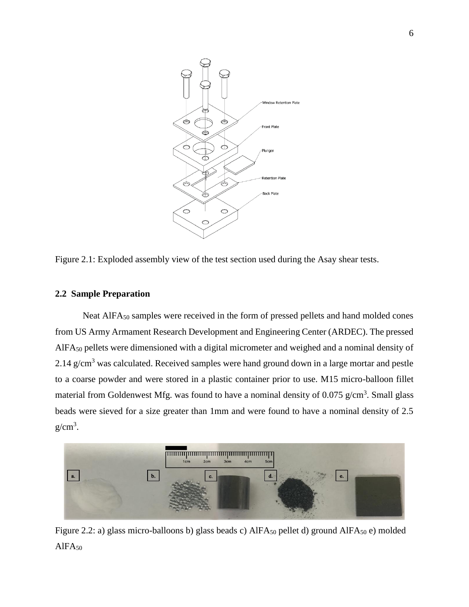

Figure 2.1: Exploded assembly view of the test section used during the Asay shear tests.

#### **2.2 Sample Preparation**

Neat AlFA<sub>50</sub> samples were received in the form of pressed pellets and hand molded cones from US Army Armament Research Development and Engineering Center (ARDEC). The pressed AlFA<sup>50</sup> pellets were dimensioned with a digital micrometer and weighed and a nominal density of 2.14  $g/cm<sup>3</sup>$  was calculated. Received samples were hand ground down in a large mortar and pestle to a coarse powder and were stored in a plastic container prior to use. M15 micro-balloon fillet material from Goldenwest Mfg. was found to have a nominal density of  $0.075$  g/cm<sup>3</sup>. Small glass beads were sieved for a size greater than 1mm and were found to have a nominal density of 2.5  $g/cm<sup>3</sup>$ .



Figure 2.2: a) glass micro-balloons b) glass beads c) AlFA<sub>50</sub> pellet d) ground AlFA<sub>50</sub> e) molded  $A$ IFA<sub>50</sub>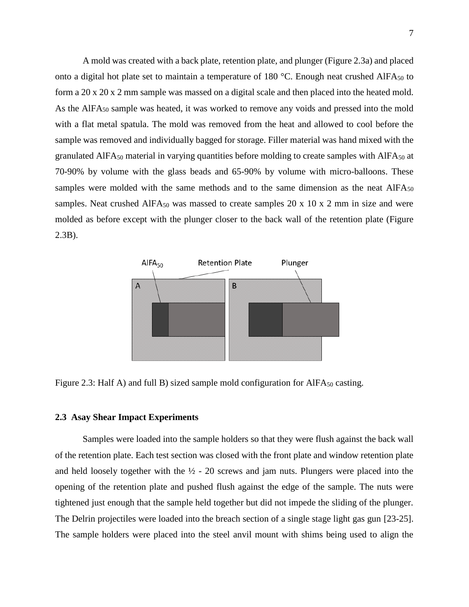A mold was created with a back plate, retention plate, and plunger (Figure 2.3a) and placed onto a digital hot plate set to maintain a temperature of 180  $^{\circ}$ C. Enough neat crushed AlFA<sub>50</sub> to form a 20 x 20 x 2 mm sample was massed on a digital scale and then placed into the heated mold. As the AIFA<sub>50</sub> sample was heated, it was worked to remove any voids and pressed into the mold with a flat metal spatula. The mold was removed from the heat and allowed to cool before the sample was removed and individually bagged for storage. Filler material was hand mixed with the granulated AlFA $_{50}$  material in varying quantities before molding to create samples with AlFA $_{50}$  at 70-90% by volume with the glass beads and 65-90% by volume with micro-balloons. These samples were molded with the same methods and to the same dimension as the neat  $AIFAs<sub>0</sub>$ samples. Neat crushed AlFA $_{50}$  was massed to create samples 20 x 10 x 2 mm in size and were molded as before except with the plunger closer to the back wall of the retention plate (Figure 2.3B).



Figure 2.3: Half A) and full B) sized sample mold configuration for  $AIFA_{50}$  casting.

### **2.3 Asay Shear Impact Experiments**

Samples were loaded into the sample holders so that they were flush against the back wall of the retention plate. Each test section was closed with the front plate and window retention plate and held loosely together with the  $\frac{1}{2}$  - 20 screws and jam nuts. Plungers were placed into the opening of the retention plate and pushed flush against the edge of the sample. The nuts were tightened just enough that the sample held together but did not impede the sliding of the plunger. The Delrin projectiles were loaded into the breach section of a single stage light gas gun [23-25]. The sample holders were placed into the steel anvil mount with shims being used to align the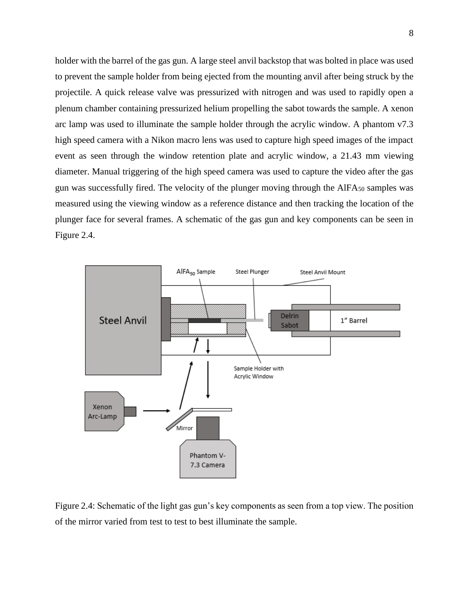holder with the barrel of the gas gun. A large steel anvil backstop that was bolted in place was used to prevent the sample holder from being ejected from the mounting anvil after being struck by the projectile. A quick release valve was pressurized with nitrogen and was used to rapidly open a plenum chamber containing pressurized helium propelling the sabot towards the sample. A xenon arc lamp was used to illuminate the sample holder through the acrylic window. A phantom v7.3 high speed camera with a Nikon macro lens was used to capture high speed images of the impact event as seen through the window retention plate and acrylic window, a 21.43 mm viewing diameter. Manual triggering of the high speed camera was used to capture the video after the gas gun was successfully fired. The velocity of the plunger moving through the  $AIFA_{50}$  samples was measured using the viewing window as a reference distance and then tracking the location of the plunger face for several frames. A schematic of the gas gun and key components can be seen in Figure 2.4.



Figure 2.4: Schematic of the light gas gun's key components as seen from a top view. The position of the mirror varied from test to test to best illuminate the sample.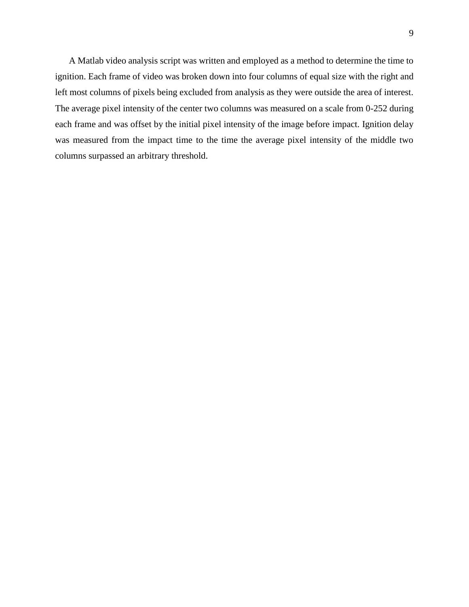A Matlab video analysis script was written and employed as a method to determine the time to ignition. Each frame of video was broken down into four columns of equal size with the right and left most columns of pixels being excluded from analysis as they were outside the area of interest. The average pixel intensity of the center two columns was measured on a scale from 0-252 during each frame and was offset by the initial pixel intensity of the image before impact. Ignition delay was measured from the impact time to the time the average pixel intensity of the middle two columns surpassed an arbitrary threshold.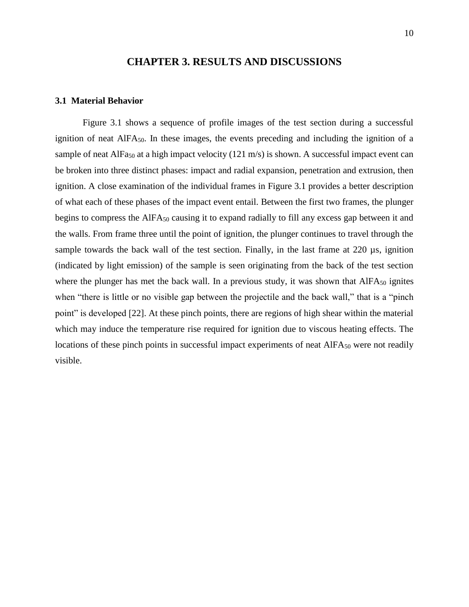## **CHAPTER 3. RESULTS AND DISCUSSIONS**

#### **3.1 Material Behavior**

Figure 3.1 shows a sequence of profile images of the test section during a successful ignition of neat AlFA50. In these images, the events preceding and including the ignition of a sample of neat AlFa<sub>50</sub> at a high impact velocity (121 m/s) is shown. A successful impact event can be broken into three distinct phases: impact and radial expansion, penetration and extrusion, then ignition. A close examination of the individual frames in Figure 3.1 provides a better description of what each of these phases of the impact event entail. Between the first two frames, the plunger begins to compress the AlFA<sub>50</sub> causing it to expand radially to fill any excess gap between it and the walls. From frame three until the point of ignition, the plunger continues to travel through the sample towards the back wall of the test section. Finally, in the last frame at 220 µs, ignition (indicated by light emission) of the sample is seen originating from the back of the test section where the plunger has met the back wall. In a previous study, it was shown that  $AIFA_{50}$  ignites when "there is little or no visible gap between the projectile and the back wall," that is a "pinch point" is developed [22]. At these pinch points, there are regions of high shear within the material which may induce the temperature rise required for ignition due to viscous heating effects. The locations of these pinch points in successful impact experiments of neat  $AIFA_{50}$  were not readily visible.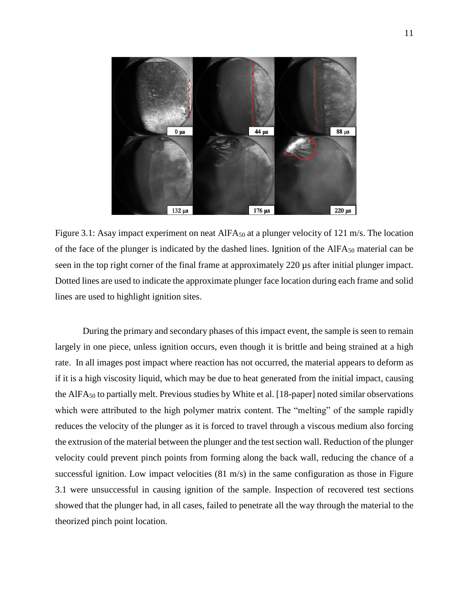

Figure 3.1: Asay impact experiment on neat AIFA<sub>50</sub> at a plunger velocity of 121 m/s. The location of the face of the plunger is indicated by the dashed lines. Ignition of the AlFA<sup>50</sup> material can be seen in the top right corner of the final frame at approximately 220 µs after initial plunger impact. Dotted lines are used to indicate the approximate plunger face location during each frame and solid lines are used to highlight ignition sites.

During the primary and secondary phases of this impact event, the sample is seen to remain largely in one piece, unless ignition occurs, even though it is brittle and being strained at a high rate. In all images post impact where reaction has not occurred, the material appears to deform as if it is a high viscosity liquid, which may be due to heat generated from the initial impact, causing the AlFA<sup>50</sup> to partially melt. Previous studies by White et al. [18-paper] noted similar observations which were attributed to the high polymer matrix content. The "melting" of the sample rapidly reduces the velocity of the plunger as it is forced to travel through a viscous medium also forcing the extrusion of the material between the plunger and the test section wall. Reduction of the plunger velocity could prevent pinch points from forming along the back wall, reducing the chance of a successful ignition. Low impact velocities (81 m/s) in the same configuration as those in Figure 3.1 were unsuccessful in causing ignition of the sample. Inspection of recovered test sections showed that the plunger had, in all cases, failed to penetrate all the way through the material to the theorized pinch point location.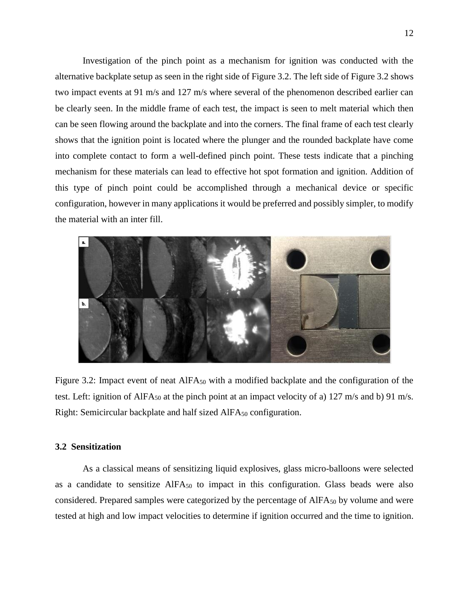Investigation of the pinch point as a mechanism for ignition was conducted with the alternative backplate setup as seen in the right side of Figure 3.2. The left side of Figure 3.2 shows two impact events at 91 m/s and 127 m/s where several of the phenomenon described earlier can be clearly seen. In the middle frame of each test, the impact is seen to melt material which then can be seen flowing around the backplate and into the corners. The final frame of each test clearly shows that the ignition point is located where the plunger and the rounded backplate have come into complete contact to form a well-defined pinch point. These tests indicate that a pinching mechanism for these materials can lead to effective hot spot formation and ignition. Addition of this type of pinch point could be accomplished through a mechanical device or specific configuration, however in many applications it would be preferred and possibly simpler, to modify the material with an inter fill.



Figure 3.2: Impact event of neat AIFA<sub>50</sub> with a modified backplate and the configuration of the test. Left: ignition of AlFA<sub>50</sub> at the pinch point at an impact velocity of a) 127 m/s and b) 91 m/s. Right: Semicircular backplate and half sized  $AIFA_{50}$  configuration.

## **3.2 Sensitization**

As a classical means of sensitizing liquid explosives, glass micro-balloons were selected as a candidate to sensitize  $AIFA_{50}$  to impact in this configuration. Glass beads were also considered. Prepared samples were categorized by the percentage of  $AIFA_{50}$  by volume and were tested at high and low impact velocities to determine if ignition occurred and the time to ignition.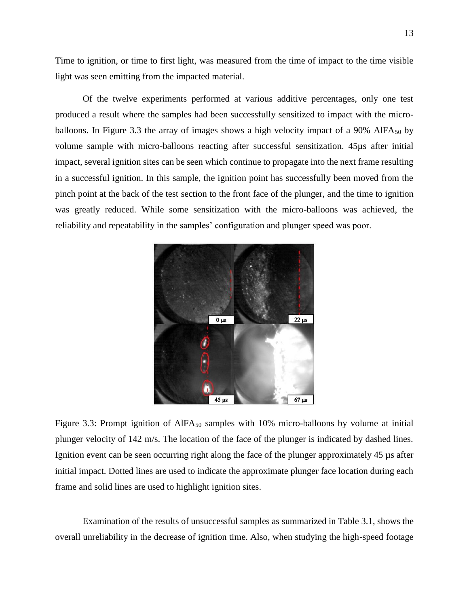Time to ignition, or time to first light, was measured from the time of impact to the time visible light was seen emitting from the impacted material.

Of the twelve experiments performed at various additive percentages, only one test produced a result where the samples had been successfully sensitized to impact with the microballoons. In Figure 3.3 the array of images shows a high velocity impact of a 90% AlFA $_{50}$  by volume sample with micro-balloons reacting after successful sensitization. 45µs after initial impact, several ignition sites can be seen which continue to propagate into the next frame resulting in a successful ignition. In this sample, the ignition point has successfully been moved from the pinch point at the back of the test section to the front face of the plunger, and the time to ignition was greatly reduced. While some sensitization with the micro-balloons was achieved, the reliability and repeatability in the samples' configuration and plunger speed was poor.



Figure 3.3: Prompt ignition of AIFA<sub>50</sub> samples with 10% micro-balloons by volume at initial plunger velocity of 142 m/s. The location of the face of the plunger is indicated by dashed lines. Ignition event can be seen occurring right along the face of the plunger approximately 45 µs after initial impact. Dotted lines are used to indicate the approximate plunger face location during each frame and solid lines are used to highlight ignition sites.

Examination of the results of unsuccessful samples as summarized in Table 3.1, shows the overall unreliability in the decrease of ignition time. Also, when studying the high-speed footage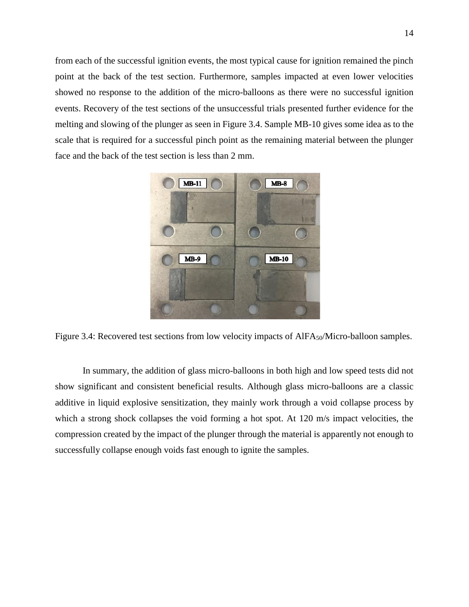from each of the successful ignition events, the most typical cause for ignition remained the pinch point at the back of the test section. Furthermore, samples impacted at even lower velocities showed no response to the addition of the micro-balloons as there were no successful ignition events. Recovery of the test sections of the unsuccessful trials presented further evidence for the melting and slowing of the plunger as seen in Figure 3.4. Sample MB-10 gives some idea as to the scale that is required for a successful pinch point as the remaining material between the plunger face and the back of the test section is less than 2 mm.



Figure 3.4: Recovered test sections from low velocity impacts of  $AIFA<sub>50</sub>/Micro-balloon samples$ .

In summary, the addition of glass micro-balloons in both high and low speed tests did not show significant and consistent beneficial results. Although glass micro-balloons are a classic additive in liquid explosive sensitization, they mainly work through a void collapse process by which a strong shock collapses the void forming a hot spot. At 120 m/s impact velocities, the compression created by the impact of the plunger through the material is apparently not enough to successfully collapse enough voids fast enough to ignite the samples.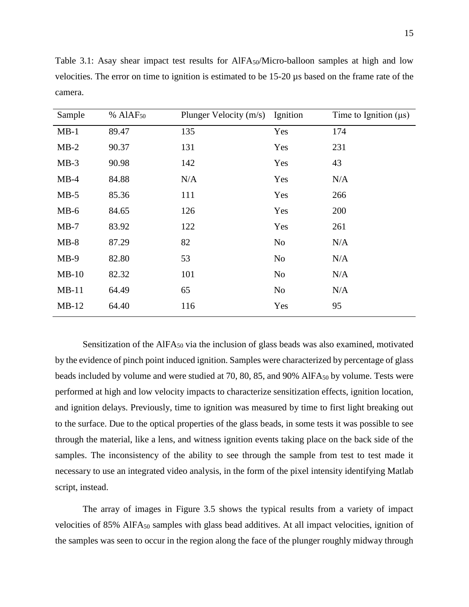| Sample  | % AlAF <sub>50</sub> | Plunger Velocity (m/s) Ignition |                | Time to Ignition $(\mu s)$ |
|---------|----------------------|---------------------------------|----------------|----------------------------|
| $MB-1$  | 89.47                | 135                             | Yes            | 174                        |
| $MB-2$  | 90.37                | 131                             | Yes            | 231                        |
| $MB-3$  | 90.98                | 142                             | Yes            | 43                         |
| $MB-4$  | 84.88                | N/A                             | Yes            | N/A                        |
| $MB-5$  | 85.36                | 111                             | Yes            | 266                        |
| $MB-6$  | 84.65                | 126                             | Yes            | 200                        |
| $MB-7$  | 83.92                | 122                             | Yes            | 261                        |
| $MB-8$  | 87.29                | 82                              | No             | N/A                        |
| $MB-9$  | 82.80                | 53                              | N <sub>o</sub> | N/A                        |
| $MB-10$ | 82.32                | 101                             | N <sub>o</sub> | N/A                        |
| $MB-11$ | 64.49                | 65                              | No             | N/A                        |
| $MB-12$ | 64.40                | 116                             | Yes            | 95                         |

Table 3.1: Asay shear impact test results for AlFA50/Micro-balloon samples at high and low velocities. The error on time to ignition is estimated to be 15-20 µs based on the frame rate of the camera.

Sensitization of the  $AIFA_{50}$  via the inclusion of glass beads was also examined, motivated by the evidence of pinch point induced ignition. Samples were characterized by percentage of glass beads included by volume and were studied at 70, 80, 85, and 90% AlFA<sub>50</sub> by volume. Tests were performed at high and low velocity impacts to characterize sensitization effects, ignition location, and ignition delays. Previously, time to ignition was measured by time to first light breaking out to the surface. Due to the optical properties of the glass beads, in some tests it was possible to see through the material, like a lens, and witness ignition events taking place on the back side of the samples. The inconsistency of the ability to see through the sample from test to test made it necessary to use an integrated video analysis, in the form of the pixel intensity identifying Matlab script, instead.

The array of images in Figure 3.5 shows the typical results from a variety of impact velocities of 85% AlFA<sub>50</sub> samples with glass bead additives. At all impact velocities, ignition of the samples was seen to occur in the region along the face of the plunger roughly midway through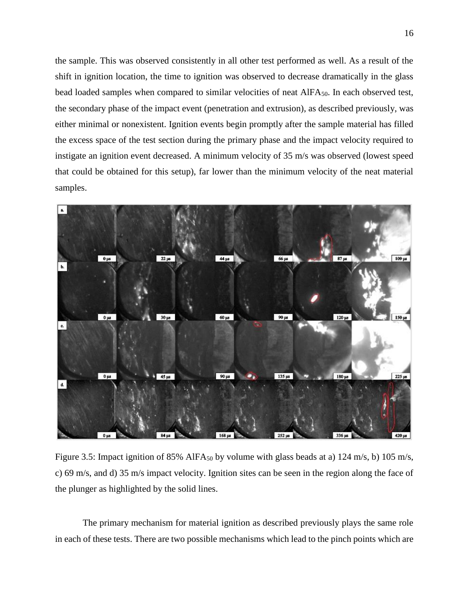the sample. This was observed consistently in all other test performed as well. As a result of the shift in ignition location, the time to ignition was observed to decrease dramatically in the glass bead loaded samples when compared to similar velocities of neat AlFA<sub>50</sub>. In each observed test, the secondary phase of the impact event (penetration and extrusion), as described previously, was either minimal or nonexistent. Ignition events begin promptly after the sample material has filled the excess space of the test section during the primary phase and the impact velocity required to instigate an ignition event decreased. A minimum velocity of 35 m/s was observed (lowest speed that could be obtained for this setup), far lower than the minimum velocity of the neat material samples.



Figure 3.5: Impact ignition of 85% AlFA<sub>50</sub> by volume with glass beads at a) 124 m/s, b) 105 m/s, c) 69 m/s, and d) 35 m/s impact velocity. Ignition sites can be seen in the region along the face of the plunger as highlighted by the solid lines.

The primary mechanism for material ignition as described previously plays the same role in each of these tests. There are two possible mechanisms which lead to the pinch points which are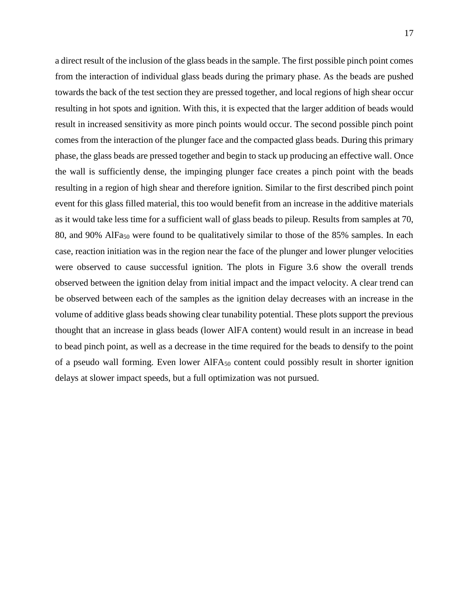a direct result of the inclusion of the glass beads in the sample. The first possible pinch point comes from the interaction of individual glass beads during the primary phase. As the beads are pushed towards the back of the test section they are pressed together, and local regions of high shear occur resulting in hot spots and ignition. With this, it is expected that the larger addition of beads would result in increased sensitivity as more pinch points would occur. The second possible pinch point comes from the interaction of the plunger face and the compacted glass beads. During this primary phase, the glass beads are pressed together and begin to stack up producing an effective wall. Once the wall is sufficiently dense, the impinging plunger face creates a pinch point with the beads resulting in a region of high shear and therefore ignition. Similar to the first described pinch point event for this glass filled material, this too would benefit from an increase in the additive materials as it would take less time for a sufficient wall of glass beads to pileup. Results from samples at 70, 80, and 90% AlFa<sup>50</sup> were found to be qualitatively similar to those of the 85% samples. In each case, reaction initiation was in the region near the face of the plunger and lower plunger velocities were observed to cause successful ignition. The plots in Figure 3.6 show the overall trends observed between the ignition delay from initial impact and the impact velocity. A clear trend can be observed between each of the samples as the ignition delay decreases with an increase in the volume of additive glass beads showing clear tunability potential. These plots support the previous thought that an increase in glass beads (lower AlFA content) would result in an increase in bead to bead pinch point, as well as a decrease in the time required for the beads to densify to the point of a pseudo wall forming. Even lower AlFA<sup>50</sup> content could possibly result in shorter ignition delays at slower impact speeds, but a full optimization was not pursued.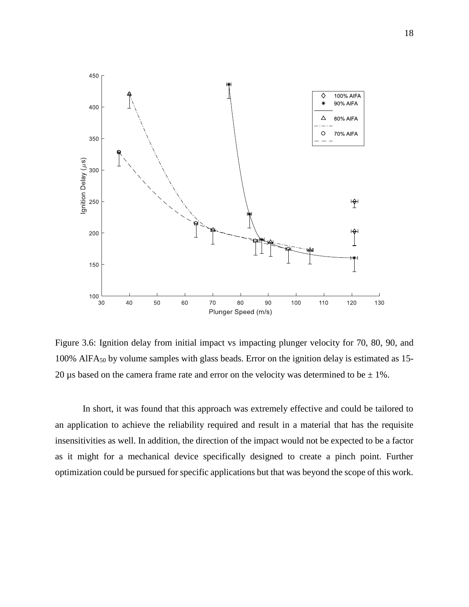

Figure 3.6: Ignition delay from initial impact vs impacting plunger velocity for 70, 80, 90, and 100% AlFA<sup>50</sup> by volume samples with glass beads. Error on the ignition delay is estimated as 15- 20 µs based on the camera frame rate and error on the velocity was determined to be  $\pm 1\%$ .

In short, it was found that this approach was extremely effective and could be tailored to an application to achieve the reliability required and result in a material that has the requisite insensitivities as well. In addition, the direction of the impact would not be expected to be a factor as it might for a mechanical device specifically designed to create a pinch point. Further optimization could be pursued for specific applications but that was beyond the scope of this work.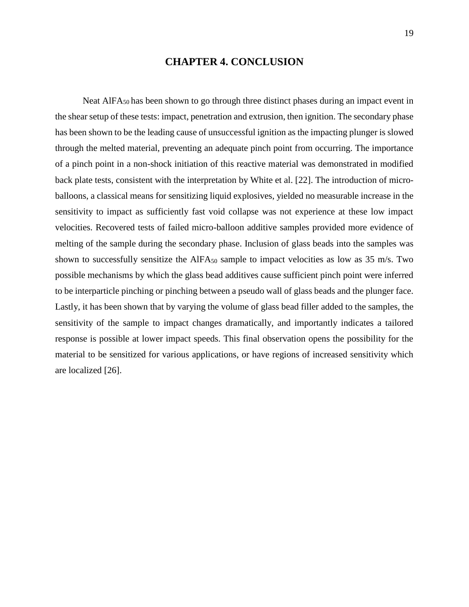## **CHAPTER 4. CONCLUSION**

Neat AlFA<sub>50</sub> has been shown to go through three distinct phases during an impact event in the shear setup of these tests: impact, penetration and extrusion, then ignition. The secondary phase has been shown to be the leading cause of unsuccessful ignition as the impacting plunger is slowed through the melted material, preventing an adequate pinch point from occurring. The importance of a pinch point in a non-shock initiation of this reactive material was demonstrated in modified back plate tests, consistent with the interpretation by White et al. [22]. The introduction of microballoons, a classical means for sensitizing liquid explosives, yielded no measurable increase in the sensitivity to impact as sufficiently fast void collapse was not experience at these low impact velocities. Recovered tests of failed micro-balloon additive samples provided more evidence of melting of the sample during the secondary phase. Inclusion of glass beads into the samples was shown to successfully sensitize the AlFA<sub>50</sub> sample to impact velocities as low as 35 m/s. Two possible mechanisms by which the glass bead additives cause sufficient pinch point were inferred to be interparticle pinching or pinching between a pseudo wall of glass beads and the plunger face. Lastly, it has been shown that by varying the volume of glass bead filler added to the samples, the sensitivity of the sample to impact changes dramatically, and importantly indicates a tailored response is possible at lower impact speeds. This final observation opens the possibility for the material to be sensitized for various applications, or have regions of increased sensitivity which are localized [26].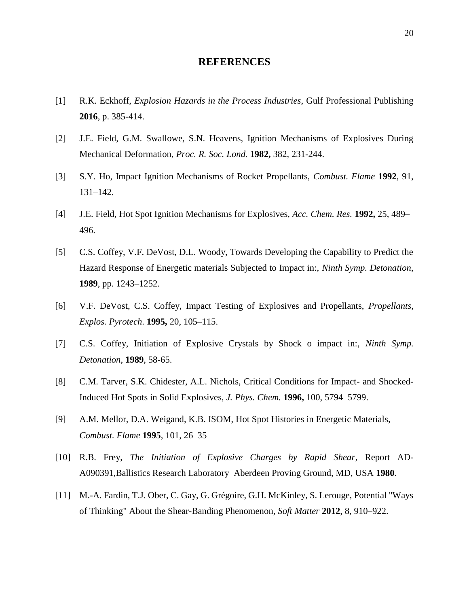## **REFERENCES**

- [1] R.K. Eckhoff, *Explosion Hazards in the Process Industries*, Gulf Professional Publishing **2016**, p. 385-414.
- [2] J.E. Field, G.M. Swallowe, S.N. Heavens, Ignition Mechanisms of Explosives During Mechanical Deformation, *Proc. R. Soc. Lond.* **1982,** 382, 231-244.
- [3] S.Y. Ho, Impact Ignition Mechanisms of Rocket Propellants, *Combust. Flame* **1992**, 91, 131–142.
- [4] J.E. Field, Hot Spot Ignition Mechanisms for Explosives, *Acc. Chem. Res.* **1992,** 25, 489– 496.
- [5] C.S. Coffey, V.F. DeVost, D.L. Woody, Towards Developing the Capability to Predict the Hazard Response of Energetic materials Subjected to Impact in:, *Ninth Symp. Detonation*, **1989**, pp. 1243–1252.
- [6] V.F. DeVost, C.S. Coffey, Impact Testing of Explosives and Propellants, *Propellants, Explos. Pyrotech*. **1995,** 20, 105–115.
- [7] C.S. Coffey, Initiation of Explosive Crystals by Shock o impact in:, *Ninth Symp. Detonation*, **1989**, 58-65.
- [8] C.M. Tarver, S.K. Chidester, A.L. Nichols, Critical Conditions for Impact- and Shocked-Induced Hot Spots in Solid Explosives, *J. Phys. Chem.* **1996,** 100, 5794–5799.
- [9] A.M. Mellor, D.A. Weigand, K.B. ISOM, Hot Spot Histories in Energetic Materials, *Combust. Flame* **1995**, 101, 26–35
- [10] R.B. Frey, *The Initiation of Explosive Charges by Rapid Shear*, Report AD-A090391,Ballistics Research Laboratory Aberdeen Proving Ground, MD, USA **1980**.
- [11] M.-A. Fardin, T.J. Ober, C. Gay, G. Grégoire, G.H. McKinley, S. Lerouge, Potential "Ways of Thinking" About the Shear-Banding Phenomenon, *Soft Matter* **2012**, 8, 910–922.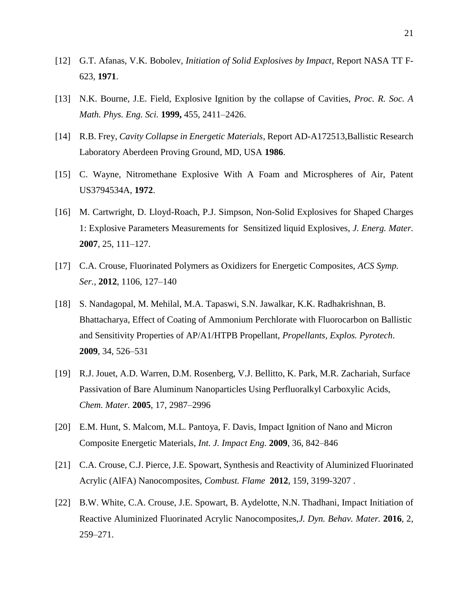- [12] G.T. Afanas, V.K. Bobolev, *Initiation of Solid Explosives by Impact*, Report NASA TT F-623, **1971**.
- [13] N.K. Bourne, J.E. Field, Explosive Ignition by the collapse of Cavities, *Proc. R. Soc. A Math. Phys. Eng. Sci.* **1999,** 455, 2411–2426.
- [14] R.B. Frey, *Cavity Collapse in Energetic Materials*, Report AD-A172513,Ballistic Research Laboratory Aberdeen Proving Ground, MD, USA **1986**.
- [15] C. Wayne, Nitromethane Explosive With A Foam and Microspheres of Air, Patent US3794534A, **1972**.
- [16] M. Cartwright, D. Lloyd-Roach, P.J. Simpson, Non-Solid Explosives for Shaped Charges 1: Explosive Parameters Measurements for Sensitized liquid Explosives, *J. Energ. Mater.* **2007**, 25, 111–127.
- [17] C.A. Crouse, Fluorinated Polymers as Oxidizers for Energetic Composites, *ACS Symp. Ser.,* **2012**, 1106, 127–140
- [18] S. Nandagopal, M. Mehilal, M.A. Tapaswi, S.N. Jawalkar, K.K. Radhakrishnan, B. Bhattacharya, Effect of Coating of Ammonium Perchlorate with Fluorocarbon on Ballistic and Sensitivity Properties of AP/A1/HTPB Propellant, *Propellants, Explos. Pyrotech*. **2009**, 34, 526–531
- [19] R.J. Jouet, A.D. Warren, D.M. Rosenberg, V.J. Bellitto, K. Park, M.R. Zachariah, Surface Passivation of Bare Aluminum Nanoparticles Using Perfluoralkyl Carboxylic Acids, *Chem. Mater.* **2005**, 17, 2987–2996
- [20] E.M. Hunt, S. Malcom, M.L. Pantoya, F. Davis, Impact Ignition of Nano and Micron Composite Energetic Materials, *Int. J. Impact Eng.* **2009**, 36, 842–846
- [21] C.A. Crouse, C.J. Pierce, J.E. Spowart, Synthesis and Reactivity of Aluminized Fluorinated Acrylic (AlFA) Nanocomposites, *Combust. Flame* **2012**, 159, 3199-3207 .
- [22] B.W. White, C.A. Crouse, J.E. Spowart, B. Aydelotte, N.N. Thadhani, Impact Initiation of Reactive Aluminized Fluorinated Acrylic Nanocomposites,*J. Dyn. Behav. Mater.* **2016**, 2, 259–271.